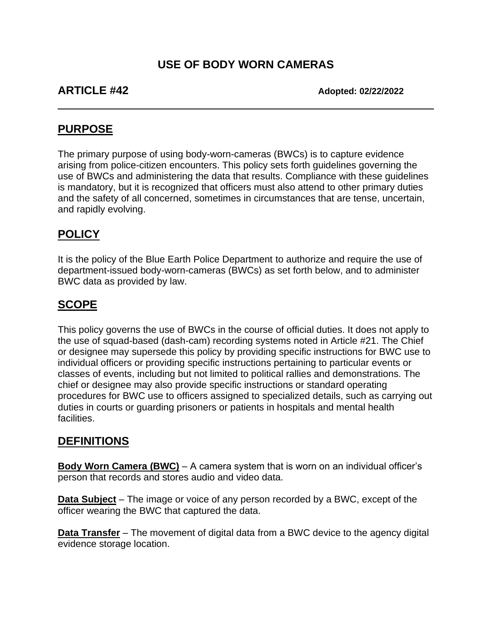## **USE OF BODY WORN CAMERAS**

**ARTICLE #42 Adopted: 02/22/2022**

### **PURPOSE**

The primary purpose of using body-worn-cameras (BWCs) is to capture evidence arising from police-citizen encounters. This policy sets forth guidelines governing the use of BWCs and administering the data that results. Compliance with these guidelines is mandatory, but it is recognized that officers must also attend to other primary duties and the safety of all concerned, sometimes in circumstances that are tense, uncertain, and rapidly evolving.

## **POLICY**

It is the policy of the Blue Earth Police Department to authorize and require the use of department-issued body-worn-cameras (BWCs) as set forth below, and to administer BWC data as provided by law.

## **SCOPE**

This policy governs the use of BWCs in the course of official duties. It does not apply to the use of squad-based (dash-cam) recording systems noted in Article #21. The Chief or designee may supersede this policy by providing specific instructions for BWC use to individual officers or providing specific instructions pertaining to particular events or classes of events, including but not limited to political rallies and demonstrations. The chief or designee may also provide specific instructions or standard operating procedures for BWC use to officers assigned to specialized details, such as carrying out duties in courts or guarding prisoners or patients in hospitals and mental health facilities.

#### **DEFINITIONS**

**Body Worn Camera (BWC)** – A camera system that is worn on an individual officer's person that records and stores audio and video data.

**Data Subject** – The image or voice of any person recorded by a BWC, except of the officer wearing the BWC that captured the data.

**Data Transfer** – The movement of digital data from a BWC device to the agency digital evidence storage location.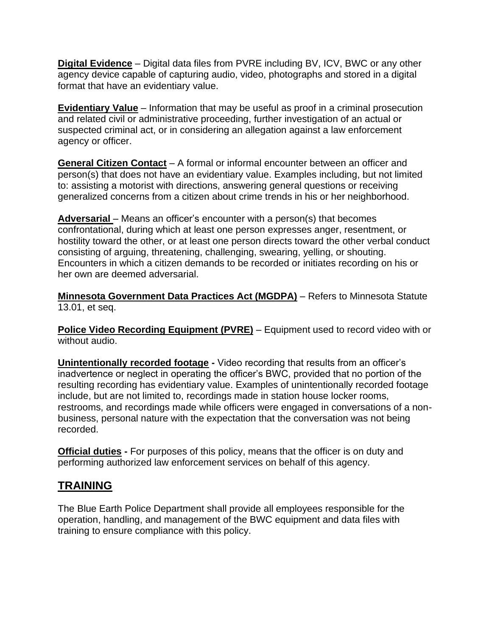**Digital Evidence** – Digital data files from PVRE including BV, ICV, BWC or any other agency device capable of capturing audio, video, photographs and stored in a digital format that have an evidentiary value.

**Evidentiary Value** – Information that may be useful as proof in a criminal prosecution and related civil or administrative proceeding, further investigation of an actual or suspected criminal act, or in considering an allegation against a law enforcement agency or officer.

**General Citizen Contact** – A formal or informal encounter between an officer and person(s) that does not have an evidentiary value. Examples including, but not limited to: assisting a motorist with directions, answering general questions or receiving generalized concerns from a citizen about crime trends in his or her neighborhood.

**Adversarial** – Means an officer's encounter with a person(s) that becomes confrontational, during which at least one person expresses anger, resentment, or hostility toward the other, or at least one person directs toward the other verbal conduct consisting of arguing, threatening, challenging, swearing, yelling, or shouting. Encounters in which a citizen demands to be recorded or initiates recording on his or her own are deemed adversarial.

**Minnesota Government Data Practices Act (MGDPA)** – Refers to Minnesota Statute 13.01, et seq.

**Police Video Recording Equipment (PVRE)** – Equipment used to record video with or without audio.

**Unintentionally recorded footage -** Video recording that results from an officer's inadvertence or neglect in operating the officer's BWC, provided that no portion of the resulting recording has evidentiary value. Examples of unintentionally recorded footage include, but are not limited to, recordings made in station house locker rooms, restrooms, and recordings made while officers were engaged in conversations of a nonbusiness, personal nature with the expectation that the conversation was not being recorded.

**Official duties -** For purposes of this policy, means that the officer is on duty and performing authorized law enforcement services on behalf of this agency.

#### **TRAINING**

The Blue Earth Police Department shall provide all employees responsible for the operation, handling, and management of the BWC equipment and data files with training to ensure compliance with this policy.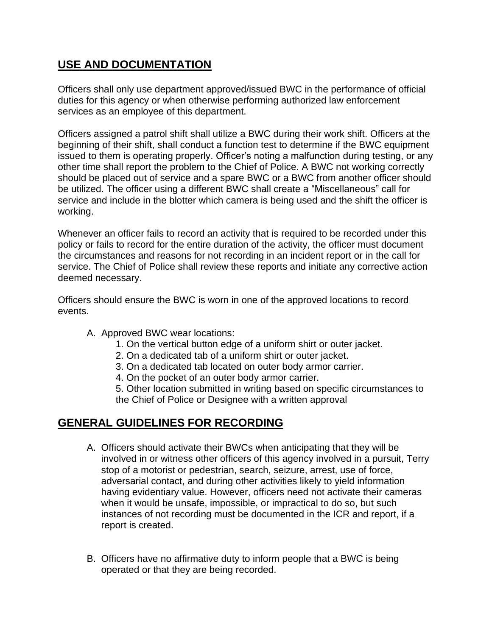## **USE AND DOCUMENTATION**

Officers shall only use department approved/issued BWC in the performance of official duties for this agency or when otherwise performing authorized law enforcement services as an employee of this department.

Officers assigned a patrol shift shall utilize a BWC during their work shift. Officers at the beginning of their shift, shall conduct a function test to determine if the BWC equipment issued to them is operating properly. Officer's noting a malfunction during testing, or any other time shall report the problem to the Chief of Police. A BWC not working correctly should be placed out of service and a spare BWC or a BWC from another officer should be utilized. The officer using a different BWC shall create a "Miscellaneous" call for service and include in the blotter which camera is being used and the shift the officer is working.

Whenever an officer fails to record an activity that is required to be recorded under this policy or fails to record for the entire duration of the activity, the officer must document the circumstances and reasons for not recording in an incident report or in the call for service. The Chief of Police shall review these reports and initiate any corrective action deemed necessary.

Officers should ensure the BWC is worn in one of the approved locations to record events.

- A. Approved BWC wear locations:
	- 1. On the vertical button edge of a uniform shirt or outer jacket.
	- 2. On a dedicated tab of a uniform shirt or outer jacket.
	- 3. On a dedicated tab located on outer body armor carrier.
	- 4. On the pocket of an outer body armor carrier.

5. Other location submitted in writing based on specific circumstances to the Chief of Police or Designee with a written approval

## **GENERAL GUIDELINES FOR RECORDING**

- A. Officers should activate their BWCs when anticipating that they will be involved in or witness other officers of this agency involved in a pursuit, Terry stop of a motorist or pedestrian, search, seizure, arrest, use of force, adversarial contact, and during other activities likely to yield information having evidentiary value. However, officers need not activate their cameras when it would be unsafe, impossible, or impractical to do so, but such instances of not recording must be documented in the ICR and report, if a report is created.
- B. Officers have no affirmative duty to inform people that a BWC is being operated or that they are being recorded.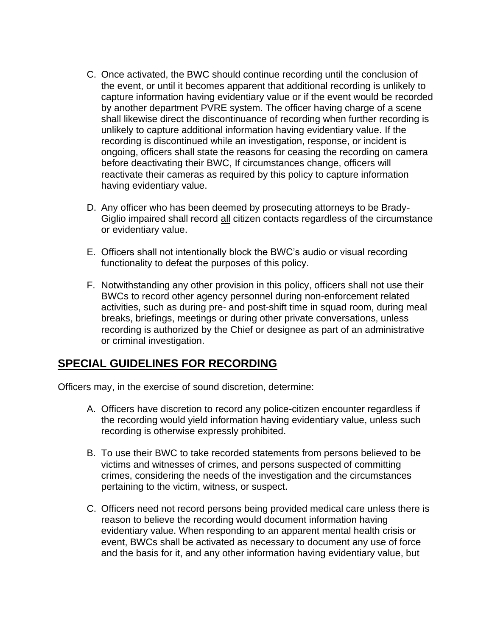- C. Once activated, the BWC should continue recording until the conclusion of the event, or until it becomes apparent that additional recording is unlikely to capture information having evidentiary value or if the event would be recorded by another department PVRE system. The officer having charge of a scene shall likewise direct the discontinuance of recording when further recording is unlikely to capture additional information having evidentiary value. If the recording is discontinued while an investigation, response, or incident is ongoing, officers shall state the reasons for ceasing the recording on camera before deactivating their BWC, If circumstances change, officers will reactivate their cameras as required by this policy to capture information having evidentiary value.
- D. Any officer who has been deemed by prosecuting attorneys to be Brady-Giglio impaired shall record all citizen contacts regardless of the circumstance or evidentiary value.
- E. Officers shall not intentionally block the BWC's audio or visual recording functionality to defeat the purposes of this policy.
- F. Notwithstanding any other provision in this policy, officers shall not use their BWCs to record other agency personnel during non-enforcement related activities, such as during pre- and post-shift time in squad room, during meal breaks, briefings, meetings or during other private conversations, unless recording is authorized by the Chief or designee as part of an administrative or criminal investigation.

#### **SPECIAL GUIDELINES FOR RECORDING**

Officers may, in the exercise of sound discretion, determine:

- A. Officers have discretion to record any police-citizen encounter regardless if the recording would yield information having evidentiary value, unless such recording is otherwise expressly prohibited.
- B. To use their BWC to take recorded statements from persons believed to be victims and witnesses of crimes, and persons suspected of committing crimes, considering the needs of the investigation and the circumstances pertaining to the victim, witness, or suspect.
- C. Officers need not record persons being provided medical care unless there is reason to believe the recording would document information having evidentiary value. When responding to an apparent mental health crisis or event, BWCs shall be activated as necessary to document any use of force and the basis for it, and any other information having evidentiary value, but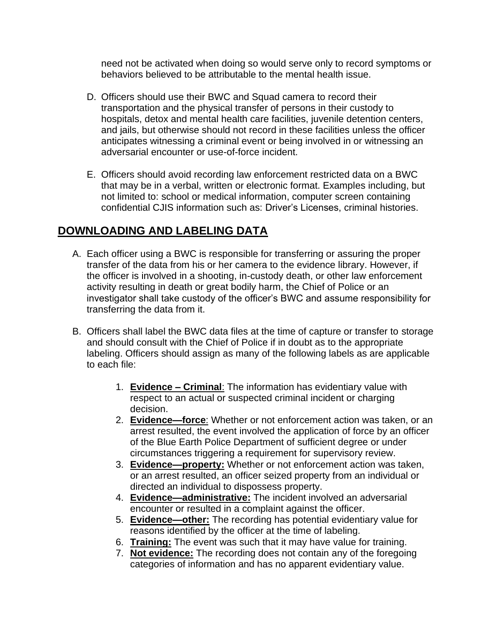need not be activated when doing so would serve only to record symptoms or behaviors believed to be attributable to the mental health issue.

- D. Officers should use their BWC and Squad camera to record their transportation and the physical transfer of persons in their custody to hospitals, detox and mental health care facilities, juvenile detention centers, and jails, but otherwise should not record in these facilities unless the officer anticipates witnessing a criminal event or being involved in or witnessing an adversarial encounter or use-of-force incident.
- E. Officers should avoid recording law enforcement restricted data on a BWC that may be in a verbal, written or electronic format. Examples including, but not limited to: school or medical information, computer screen containing confidential CJIS information such as: Driver's Licenses, criminal histories.

## **DOWNLOADING AND LABELING DATA**

- A. Each officer using a BWC is responsible for transferring or assuring the proper transfer of the data from his or her camera to the evidence library. However, if the officer is involved in a shooting, in-custody death, or other law enforcement activity resulting in death or great bodily harm, the Chief of Police or an investigator shall take custody of the officer's BWC and assume responsibility for transferring the data from it.
- B. Officers shall label the BWC data files at the time of capture or transfer to storage and should consult with the Chief of Police if in doubt as to the appropriate labeling. Officers should assign as many of the following labels as are applicable to each file:
	- 1. **Evidence – Criminal**: The information has evidentiary value with respect to an actual or suspected criminal incident or charging decision.
	- 2. **Evidence—force**: Whether or not enforcement action was taken, or an arrest resulted, the event involved the application of force by an officer of the Blue Earth Police Department of sufficient degree or under circumstances triggering a requirement for supervisory review.
	- 3. **Evidence—property:** Whether or not enforcement action was taken, or an arrest resulted, an officer seized property from an individual or directed an individual to dispossess property.
	- 4. **Evidence—administrative:** The incident involved an adversarial encounter or resulted in a complaint against the officer.
	- 5. **Evidence—other:** The recording has potential evidentiary value for reasons identified by the officer at the time of labeling.
	- 6. **Training:** The event was such that it may have value for training.
	- 7. **Not evidence:** The recording does not contain any of the foregoing categories of information and has no apparent evidentiary value.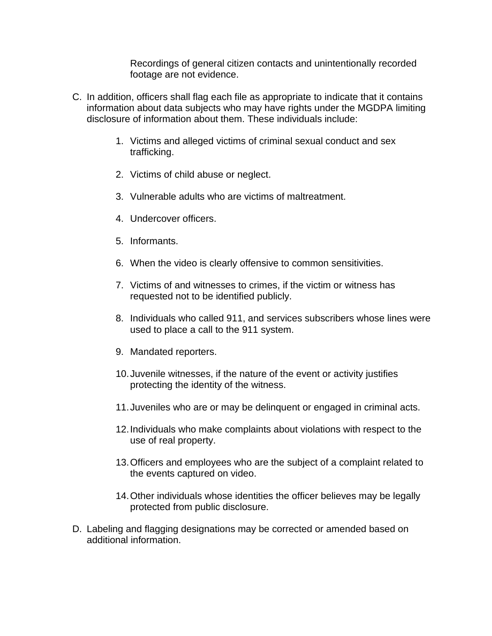Recordings of general citizen contacts and unintentionally recorded footage are not evidence.

- C. In addition, officers shall flag each file as appropriate to indicate that it contains information about data subjects who may have rights under the MGDPA limiting disclosure of information about them. These individuals include:
	- 1. Victims and alleged victims of criminal sexual conduct and sex trafficking.
	- 2. Victims of child abuse or neglect.
	- 3. Vulnerable adults who are victims of maltreatment.
	- 4. Undercover officers.
	- 5. Informants.
	- 6. When the video is clearly offensive to common sensitivities.
	- 7. Victims of and witnesses to crimes, if the victim or witness has requested not to be identified publicly.
	- 8. Individuals who called 911, and services subscribers whose lines were used to place a call to the 911 system.
	- 9. Mandated reporters.
	- 10.Juvenile witnesses, if the nature of the event or activity justifies protecting the identity of the witness.
	- 11.Juveniles who are or may be delinquent or engaged in criminal acts.
	- 12.Individuals who make complaints about violations with respect to the use of real property.
	- 13.Officers and employees who are the subject of a complaint related to the events captured on video.
	- 14.Other individuals whose identities the officer believes may be legally protected from public disclosure.
- D. Labeling and flagging designations may be corrected or amended based on additional information.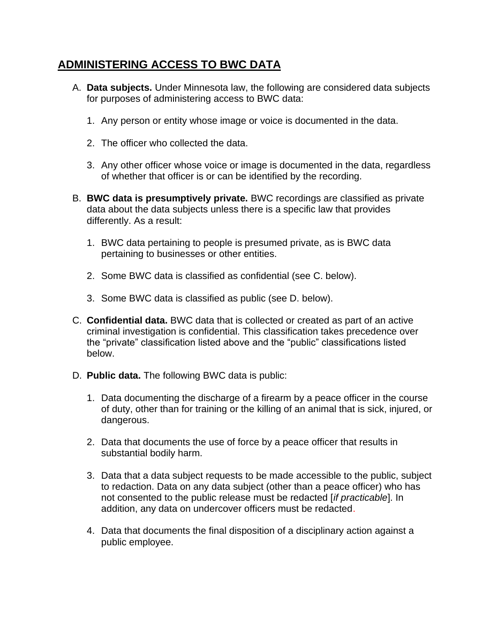### **ADMINISTERING ACCESS TO BWC DATA**

- A. **Data subjects.** Under Minnesota law, the following are considered data subjects for purposes of administering access to BWC data:
	- 1. Any person or entity whose image or voice is documented in the data.
	- 2. The officer who collected the data.
	- 3. Any other officer whose voice or image is documented in the data, regardless of whether that officer is or can be identified by the recording.
- B. **BWC data is presumptively private.** BWC recordings are classified as private data about the data subjects unless there is a specific law that provides differently. As a result:
	- 1. BWC data pertaining to people is presumed private, as is BWC data pertaining to businesses or other entities.
	- 2. Some BWC data is classified as confidential (see C. below).
	- 3. Some BWC data is classified as public (see D. below).
- C. **Confidential data.** BWC data that is collected or created as part of an active criminal investigation is confidential. This classification takes precedence over the "private" classification listed above and the "public" classifications listed below.
- D. **Public data.** The following BWC data is public:
	- 1. Data documenting the discharge of a firearm by a peace officer in the course of duty, other than for training or the killing of an animal that is sick, injured, or dangerous.
	- 2. Data that documents the use of force by a peace officer that results in substantial bodily harm.
	- 3. Data that a data subject requests to be made accessible to the public, subject to redaction. Data on any data subject (other than a peace officer) who has not consented to the public release must be redacted [*if practicable*]. In addition, any data on undercover officers must be redacted.
	- 4. Data that documents the final disposition of a disciplinary action against a public employee.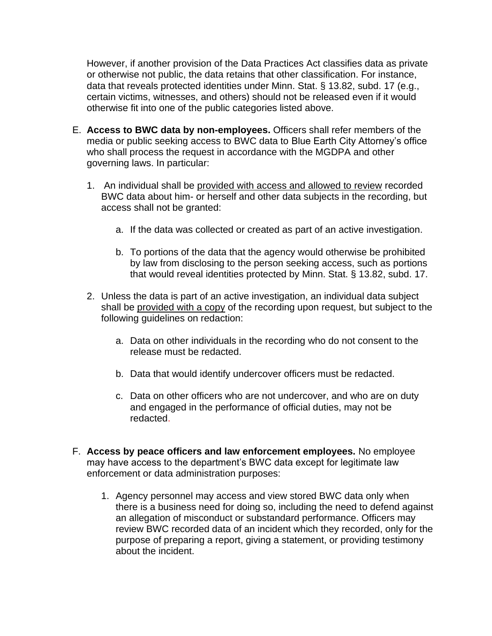However, if another provision of the Data Practices Act classifies data as private or otherwise not public, the data retains that other classification. For instance, data that reveals protected identities under Minn. Stat. § 13.82, subd. 17 (e.g., certain victims, witnesses, and others) should not be released even if it would otherwise fit into one of the public categories listed above.

- E. **Access to BWC data by non-employees.** Officers shall refer members of the media or public seeking access to BWC data to Blue Earth City Attorney's office who shall process the request in accordance with the MGDPA and other governing laws. In particular:
	- 1. An individual shall be provided with access and allowed to review recorded BWC data about him- or herself and other data subjects in the recording, but access shall not be granted:
		- a. If the data was collected or created as part of an active investigation.
		- b. To portions of the data that the agency would otherwise be prohibited by law from disclosing to the person seeking access, such as portions that would reveal identities protected by Minn. Stat. § 13.82, subd. 17.
	- 2. Unless the data is part of an active investigation, an individual data subject shall be provided with a copy of the recording upon request, but subject to the following guidelines on redaction:
		- a. Data on other individuals in the recording who do not consent to the release must be redacted.
		- b. Data that would identify undercover officers must be redacted.
		- c. Data on other officers who are not undercover, and who are on duty and engaged in the performance of official duties, may not be redacted.
- F. **Access by peace officers and law enforcement employees.** No employee may have access to the department's BWC data except for legitimate law enforcement or data administration purposes:
	- 1. Agency personnel may access and view stored BWC data only when there is a business need for doing so, including the need to defend against an allegation of misconduct or substandard performance. Officers may review BWC recorded data of an incident which they recorded, only for the purpose of preparing a report, giving a statement, or providing testimony about the incident.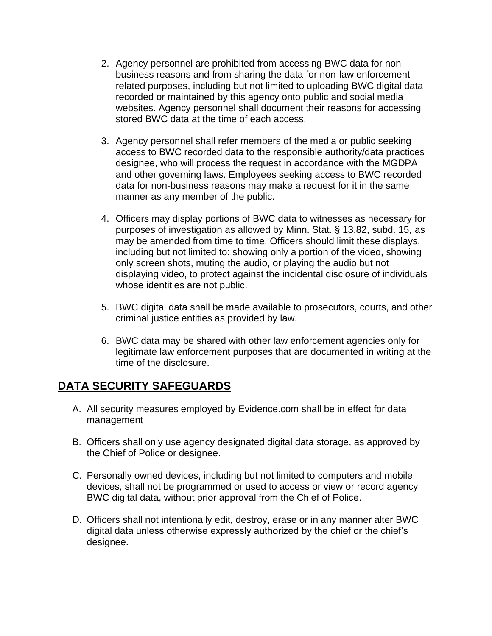- 2. Agency personnel are prohibited from accessing BWC data for nonbusiness reasons and from sharing the data for non-law enforcement related purposes, including but not limited to uploading BWC digital data recorded or maintained by this agency onto public and social media websites. Agency personnel shall document their reasons for accessing stored BWC data at the time of each access.
- 3. Agency personnel shall refer members of the media or public seeking access to BWC recorded data to the responsible authority/data practices designee, who will process the request in accordance with the MGDPA and other governing laws. Employees seeking access to BWC recorded data for non-business reasons may make a request for it in the same manner as any member of the public.
- 4. Officers may display portions of BWC data to witnesses as necessary for purposes of investigation as allowed by Minn. Stat. § 13.82, subd. 15, as may be amended from time to time. Officers should limit these displays, including but not limited to: showing only a portion of the video, showing only screen shots, muting the audio, or playing the audio but not displaying video, to protect against the incidental disclosure of individuals whose identities are not public.
- 5. BWC digital data shall be made available to prosecutors, courts, and other criminal justice entities as provided by law.
- 6. BWC data may be shared with other law enforcement agencies only for legitimate law enforcement purposes that are documented in writing at the time of the disclosure.

#### **DATA SECURITY SAFEGUARDS**

- A. All security measures employed by Evidence.com shall be in effect for data management
- B. Officers shall only use agency designated digital data storage, as approved by the Chief of Police or designee.
- C. Personally owned devices, including but not limited to computers and mobile devices, shall not be programmed or used to access or view or record agency BWC digital data, without prior approval from the Chief of Police.
- D. Officers shall not intentionally edit, destroy, erase or in any manner alter BWC digital data unless otherwise expressly authorized by the chief or the chief's designee.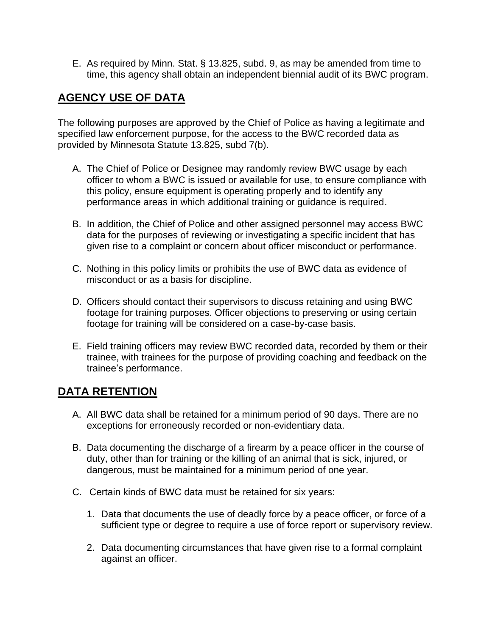E. As required by Minn. Stat. § 13.825, subd. 9, as may be amended from time to time, this agency shall obtain an independent biennial audit of its BWC program.

## **AGENCY USE OF DATA**

The following purposes are approved by the Chief of Police as having a legitimate and specified law enforcement purpose, for the access to the BWC recorded data as provided by Minnesota Statute 13.825, subd 7(b).

- A. The Chief of Police or Designee may randomly review BWC usage by each officer to whom a BWC is issued or available for use, to ensure compliance with this policy, ensure equipment is operating properly and to identify any performance areas in which additional training or guidance is required.
- B. In addition, the Chief of Police and other assigned personnel may access BWC data for the purposes of reviewing or investigating a specific incident that has given rise to a complaint or concern about officer misconduct or performance.
- C. Nothing in this policy limits or prohibits the use of BWC data as evidence of misconduct or as a basis for discipline.
- D. Officers should contact their supervisors to discuss retaining and using BWC footage for training purposes. Officer objections to preserving or using certain footage for training will be considered on a case-by-case basis.
- E. Field training officers may review BWC recorded data, recorded by them or their trainee, with trainees for the purpose of providing coaching and feedback on the trainee's performance.

#### **DATA RETENTION**

- A. All BWC data shall be retained for a minimum period of 90 days. There are no exceptions for erroneously recorded or non-evidentiary data.
- B. Data documenting the discharge of a firearm by a peace officer in the course of duty, other than for training or the killing of an animal that is sick, injured, or dangerous, must be maintained for a minimum period of one year.
- C. Certain kinds of BWC data must be retained for six years:
	- 1. Data that documents the use of deadly force by a peace officer, or force of a sufficient type or degree to require a use of force report or supervisory review.
	- 2. Data documenting circumstances that have given rise to a formal complaint against an officer.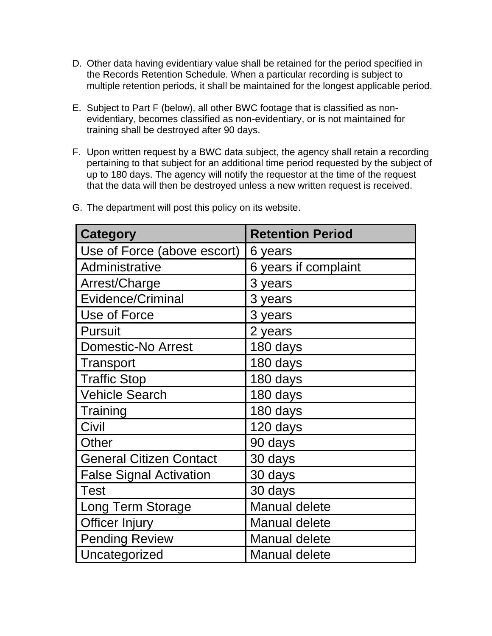- D. Other data having evidentiary value shall be retained for the period specified in the Records Retention Schedule. When a particular recording is subject to multiple retention periods, it shall be maintained for the longest applicable period.
- E. Subject to Part F (below), all other BWC footage that is classified as nonevidentiary, becomes classified as non-evidentiary, or is not maintained for training shall be destroyed after 90 days.
- F. Upon written request by a BWC data subject, the agency shall retain a recording pertaining to that subject for an additional time period requested by the subject of up to 180 days. The agency will notify the requestor at the time of the request that the data will then be destroyed unless a new written request is received.

| <b>Category</b>                | <b>Retention Period</b> |
|--------------------------------|-------------------------|
| Use of Force (above escort)    | 6 years                 |
| Administrative                 | 6 years if complaint    |
| Arrest/Charge                  | 3 years                 |
| <b>Evidence/Criminal</b>       | 3 years                 |
| Use of Force                   | 3 years                 |
| <b>Pursuit</b>                 | 2 years                 |
| <b>Domestic-No Arrest</b>      | 180 days                |
| Transport                      | 180 days                |
| <b>Traffic Stop</b>            | 180 days                |
| <b>Vehicle Search</b>          | 180 days                |
| Training                       | 180 days                |
| Civil                          | 120 days                |
| Other                          | 90 days                 |
| <b>General Citizen Contact</b> | 30 days                 |
| <b>False Signal Activation</b> | 30 days                 |
| <b>Test</b>                    | 30 days                 |
| Long Term Storage              | <b>Manual delete</b>    |
| Officer Injury                 | <b>Manual delete</b>    |
| <b>Pending Review</b>          | <b>Manual delete</b>    |
| Uncategorized                  | <b>Manual delete</b>    |

G. The department will post this policy on its website.